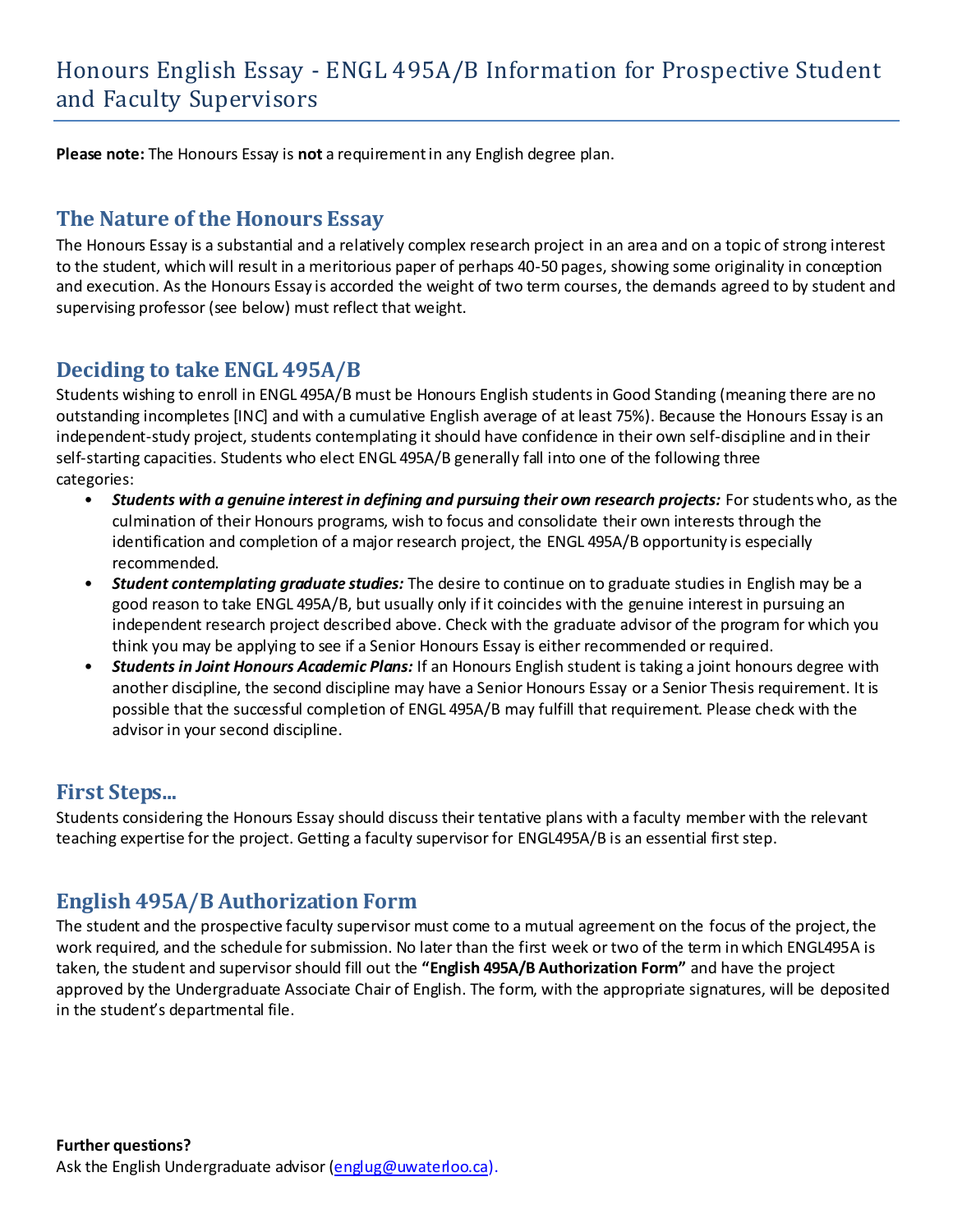**Please note:** The Honours Essay is **not** a requirement in any English degree plan.

#### **The Nature of the Honours Essay**

The Honours Essay is a substantial and a relatively complex research project in an area and on a topic of strong interest to the student, which will result in a meritorious paper of perhaps 40-50 pages, showing some originality in conception and execution. As the Honours Essay is accorded the weight of two term courses, the demands agreed to by student and supervising professor (see below) must reflect that weight.

### **Deciding to take ENGL 495A/B**

Students wishing to enroll in ENGL 495A/B must be Honours English students in Good Standing (meaning there are no outstanding incompletes [INC] and with a cumulative English average of at least 75%). Because the Honours Essay is an independent-study project, students contemplating it should have confidence in their own self-discipline and in their self-starting capacities. Students who elect ENGL 495A/B generally fall into one of the following three categories:

- *Students with a genuine interest in defining and pursuing their own research projects:* For students who, as the culmination of their Honours programs, wish to focus and consolidate their own interests through the identification and completion of a major research project, the ENGL 495A/B opportunity is especially recommended.
- *Student contemplating graduate studies:* The desire to continue on to graduate studies in English may be a good reason to take ENGL 495A/B, but usually only if it coincides with the genuine interest in pursuing an independent research project described above. Check with the graduate advisor of the program for which you think you may be applying to see if a Senior Honours Essay is either recommended or required.
- *Students in Joint Honours Academic Plans:* If an Honours English student is taking a joint honours degree with another discipline, the second discipline may have a Senior Honours Essay or a Senior Thesis requirement. It is possible that the successful completion of ENGL 495A/B may fulfill that requirement. Please check with the advisor in your second discipline.

#### **First Steps...**

Students considering the Honours Essay should discuss their tentative plans with a faculty member with the relevant teaching expertise for the project. Getting a faculty supervisor for ENGL495A/B is an essential first step.

### **English 495A/B Authorization Form**

The student and the prospective faculty supervisor must come to a mutual agreement on the focus of the project, the work required, and the schedule for submission. No later than the first week or two of the term in which ENGL495A is taken, the student and supervisor should fill out the **"English 495A/B Authorization Form"** and have the project approved by the Undergraduate Associate Chair of English. The form, with the appropriate signatures, will be deposited in the student's departmental file.